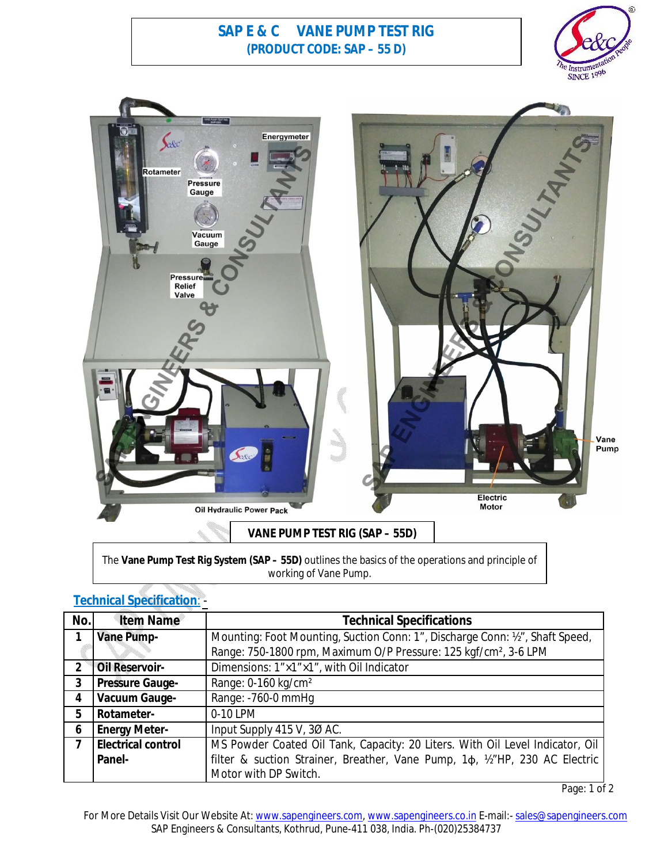## **SAP E & C VANE PUMP TEST RIG (PRODUCT CODE: SAP – 55 D)**





## **VANE PUMP TEST RIG (SAP – 55D)**

The **Vane Pump Test Rig System (SAP – 55D)** outlines the basics of the operations and principle of working of Vane Pump.

| <b>Technical Specification:</b> |  |  |
|---------------------------------|--|--|
|                                 |  |  |
|                                 |  |  |
|                                 |  |  |

| No.            | <b>Item Name</b>          | <b>Technical Specifications</b>                                                    |  |
|----------------|---------------------------|------------------------------------------------------------------------------------|--|
|                | <b>Vane Pump-</b>         | Mounting: Foot Mounting, Suction Conn: 1", Discharge Conn: 1/2", Shaft Speed,      |  |
|                |                           | Range: 750-1800 rpm, Maximum O/P Pressure: 125 kgf/cm <sup>2</sup> , 3-6 LPM       |  |
| $\mathfrak z$  | <b>Oil Reservoir-</b>     | Dimensions: 1"×1"×1", with Oil Indicator                                           |  |
| $\overline{3}$ | <b>Pressure Gauge-</b>    | Range: 0-160 kg/cm <sup>2</sup>                                                    |  |
| 4              | <b>Vacuum Gauge-</b>      | Range: -760-0 mmHg                                                                 |  |
| 5              | Rotameter-                | 0-10 LPM                                                                           |  |
| 6              | <b>Energy Meter-</b>      | Input Supply 415 V, 30 AC.                                                         |  |
| $\overline{7}$ | <b>Electrical control</b> | MS Powder Coated Oil Tank, Capacity: 20 Liters. With Oil Level Indicator, Oil      |  |
|                | Panel-                    | filter & suction Strainer, Breather, Vane Pump, 1 $\phi$ , 1/2"HP, 230 AC Electric |  |
|                |                           | Motor with DP Switch.                                                              |  |